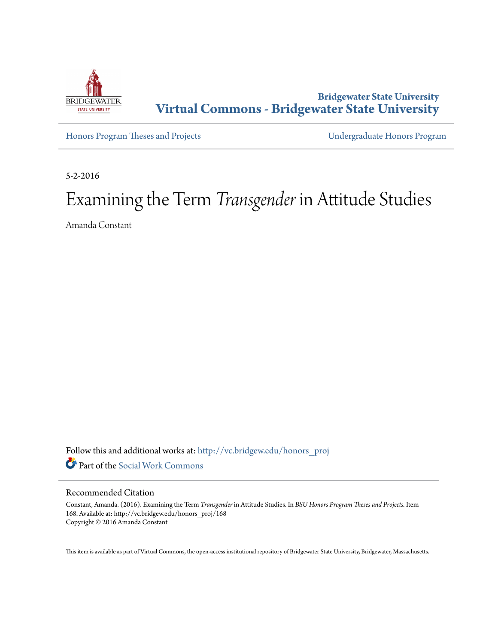

# **Bridgewater State University [Virtual Commons - Bridgewater State University](http://vc.bridgew.edu?utm_source=vc.bridgew.edu%2Fhonors_proj%2F168&utm_medium=PDF&utm_campaign=PDFCoverPages)**

[Honors Program Theses and Projects](http://vc.bridgew.edu/honors_proj?utm_source=vc.bridgew.edu%2Fhonors_proj%2F168&utm_medium=PDF&utm_campaign=PDFCoverPages) [Undergraduate Honors Program](http://vc.bridgew.edu/honors?utm_source=vc.bridgew.edu%2Fhonors_proj%2F168&utm_medium=PDF&utm_campaign=PDFCoverPages)

5-2-2016

# Examining the Term *Transgender* in Attitude Studies

Amanda Constant

Follow this and additional works at: [http://vc.bridgew.edu/honors\\_proj](http://vc.bridgew.edu/honors_proj?utm_source=vc.bridgew.edu%2Fhonors_proj%2F168&utm_medium=PDF&utm_campaign=PDFCoverPages) Part of the [Social Work Commons](http://network.bepress.com/hgg/discipline/713?utm_source=vc.bridgew.edu%2Fhonors_proj%2F168&utm_medium=PDF&utm_campaign=PDFCoverPages)

# Recommended Citation

Constant, Amanda. (2016). Examining the Term *Transgender* in Attitude Studies. In *BSU Honors Program Theses and Projects.* Item 168. Available at: http://vc.bridgew.edu/honors\_proj/168 Copyright © 2016 Amanda Constant

This item is available as part of Virtual Commons, the open-access institutional repository of Bridgewater State University, Bridgewater, Massachusetts.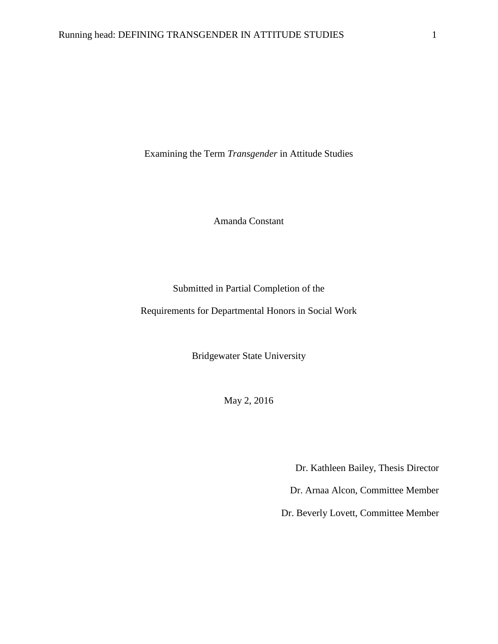Examining the Term *Transgender* in Attitude Studies

Amanda Constant

Submitted in Partial Completion of the

Requirements for Departmental Honors in Social Work

Bridgewater State University

May 2, 2016

Dr. Kathleen Bailey, Thesis Director

Dr. Arnaa Alcon, Committee Member

Dr. Beverly Lovett, Committee Member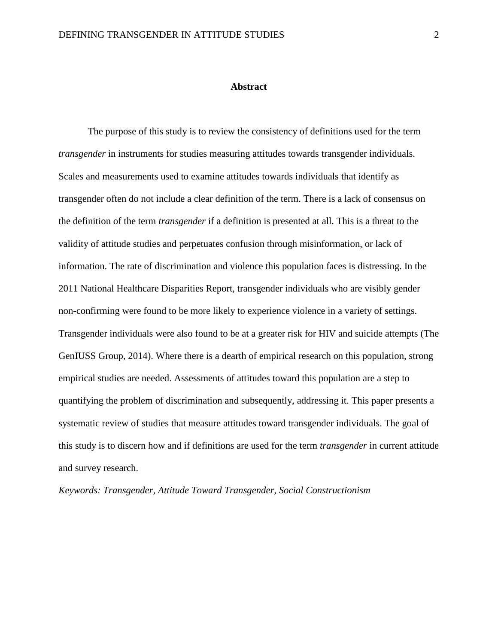#### **Abstract**

The purpose of this study is to review the consistency of definitions used for the term *transgender* in instruments for studies measuring attitudes towards transgender individuals. Scales and measurements used to examine attitudes towards individuals that identify as transgender often do not include a clear definition of the term. There is a lack of consensus on the definition of the term *transgender* if a definition is presented at all. This is a threat to the validity of attitude studies and perpetuates confusion through misinformation, or lack of information. The rate of discrimination and violence this population faces is distressing. In the 2011 National Healthcare Disparities Report, transgender individuals who are visibly gender non-confirming were found to be more likely to experience violence in a variety of settings. Transgender individuals were also found to be at a greater risk for HIV and suicide attempts (The GenIUSS Group, 2014). Where there is a dearth of empirical research on this population, strong empirical studies are needed. Assessments of attitudes toward this population are a step to quantifying the problem of discrimination and subsequently, addressing it. This paper presents a systematic review of studies that measure attitudes toward transgender individuals. The goal of this study is to discern how and if definitions are used for the term *transgender* in current attitude and survey research.

*Keywords: Transgender, Attitude Toward Transgender, Social Constructionism*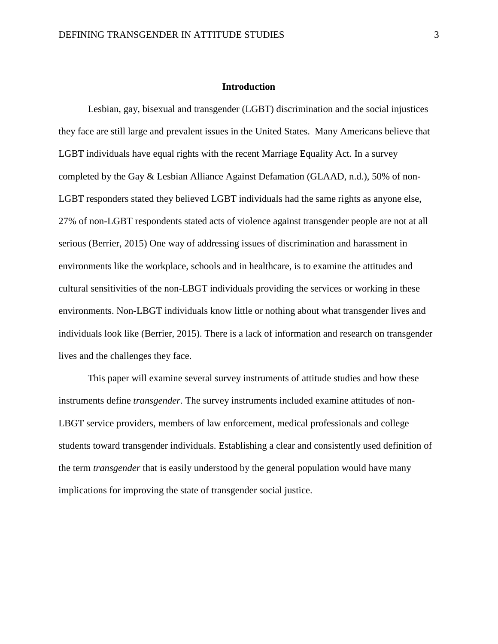# **Introduction**

Lesbian, gay, bisexual and transgender (LGBT) discrimination and the social injustices they face are still large and prevalent issues in the United States. Many Americans believe that LGBT individuals have equal rights with the recent Marriage Equality Act. In a survey completed by the Gay & Lesbian Alliance Against Defamation (GLAAD, n.d.), 50% of non-LGBT responders stated they believed LGBT individuals had the same rights as anyone else, 27% of non-LGBT respondents stated acts of violence against transgender people are not at all serious (Berrier, 2015) One way of addressing issues of discrimination and harassment in environments like the workplace, schools and in healthcare, is to examine the attitudes and cultural sensitivities of the non-LBGT individuals providing the services or working in these environments. Non-LBGT individuals know little or nothing about what transgender lives and individuals look like (Berrier, 2015). There is a lack of information and research on transgender lives and the challenges they face.

This paper will examine several survey instruments of attitude studies and how these instruments define *transgender*. The survey instruments included examine attitudes of non-LBGT service providers, members of law enforcement, medical professionals and college students toward transgender individuals. Establishing a clear and consistently used definition of the term *transgender* that is easily understood by the general population would have many implications for improving the state of transgender social justice.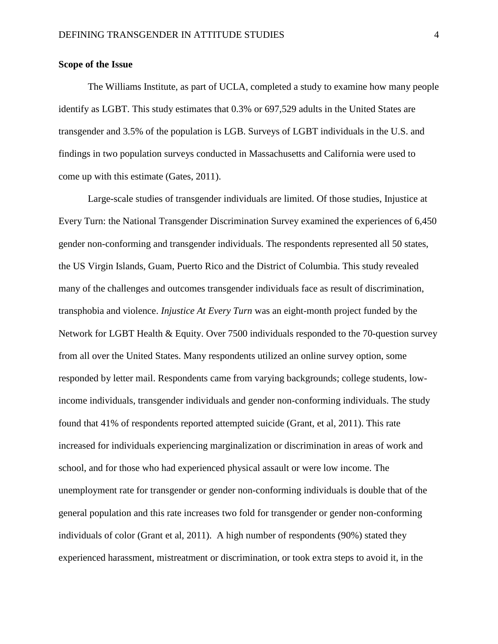# **Scope of the Issue**

The Williams Institute, as part of UCLA, completed a study to examine how many people identify as LGBT. This study estimates that 0.3% or 697,529 adults in the United States are transgender and 3.5% of the population is LGB. Surveys of LGBT individuals in the U.S. and findings in two population surveys conducted in Massachusetts and California were used to come up with this estimate (Gates, 2011).

Large-scale studies of transgender individuals are limited. Of those studies, Injustice at Every Turn: the National Transgender Discrimination Survey examined the experiences of 6,450 gender non-conforming and transgender individuals. The respondents represented all 50 states, the US Virgin Islands, Guam, Puerto Rico and the District of Columbia. This study revealed many of the challenges and outcomes transgender individuals face as result of discrimination, transphobia and violence. *Injustice At Every Turn* was an eight-month project funded by the Network for LGBT Health & Equity. Over 7500 individuals responded to the 70-question survey from all over the United States. Many respondents utilized an online survey option, some responded by letter mail. Respondents came from varying backgrounds; college students, lowincome individuals, transgender individuals and gender non-conforming individuals. The study found that 41% of respondents reported attempted suicide (Grant, et al, 2011). This rate increased for individuals experiencing marginalization or discrimination in areas of work and school, and for those who had experienced physical assault or were low income. The unemployment rate for transgender or gender non-conforming individuals is double that of the general population and this rate increases two fold for transgender or gender non-conforming individuals of color (Grant et al, 2011). A high number of respondents (90%) stated they experienced harassment, mistreatment or discrimination, or took extra steps to avoid it, in the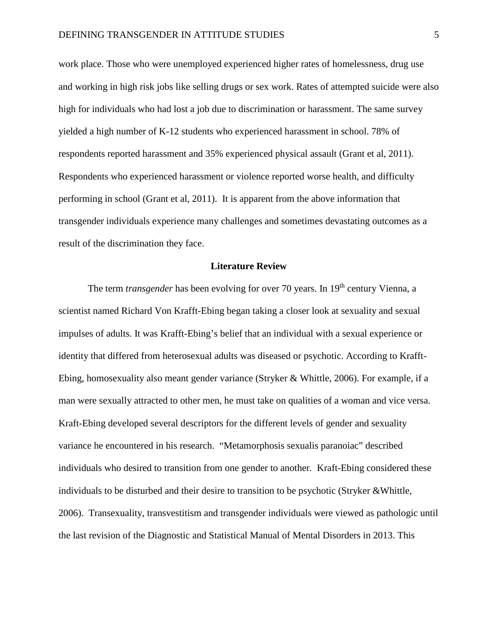work place. Those who were unemployed experienced higher rates of homelessness, drug use and working in high risk jobs like selling drugs or sex work. Rates of attempted suicide were also high for individuals who had lost a job due to discrimination or harassment. The same survey yielded a high number of K-12 students who experienced harassment in school. 78% of respondents reported harassment and 35% experienced physical assault (Grant et al, 2011). Respondents who experienced harassment or violence reported worse health, and difficulty performing in school (Grant et al, 2011). It is apparent from the above information that transgender individuals experience many challenges and sometimes devastating outcomes as a result of the discrimination they face.

#### **Literature Review**

The term *transgender* has been evolving for over 70 years. In 19<sup>th</sup> century Vienna, a scientist named Richard Von Krafft-Ebing began taking a closer look at sexuality and sexual impulses of adults. It was Krafft-Ebing's belief that an individual with a sexual experience or identity that differed from heterosexual adults was diseased or psychotic. According to Krafft-Ebing, homosexuality also meant gender variance (Stryker & Whittle, 2006). For example, if a man were sexually attracted to other men, he must take on qualities of a woman and vice versa. Kraft-Ebing developed several descriptors for the different levels of gender and sexuality variance he encountered in his research. "Metamorphosis sexualis paranoiac" described individuals who desired to transition from one gender to another*.* Kraft-Ebing considered these individuals to be disturbed and their desire to transition to be psychotic (Stryker &Whittle, 2006). Transexuality, transvestitism and transgender individuals were viewed as pathologic until the last revision of the Diagnostic and Statistical Manual of Mental Disorders in 2013. This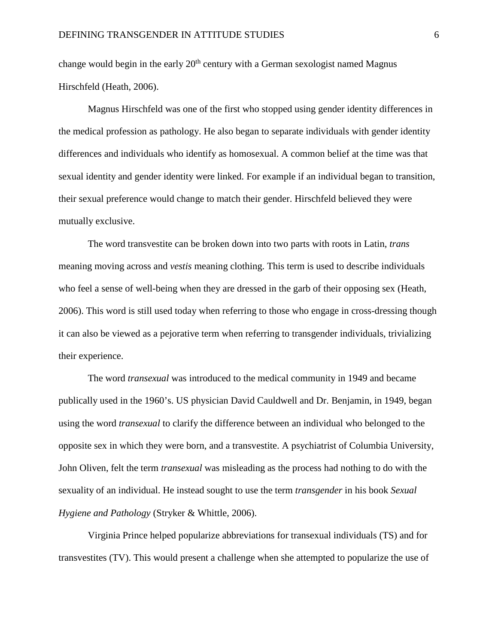change would begin in the early  $20<sup>th</sup>$  century with a German sexologist named Magnus Hirschfeld (Heath, 2006).

Magnus Hirschfeld was one of the first who stopped using gender identity differences in the medical profession as pathology. He also began to separate individuals with gender identity differences and individuals who identify as homosexual. A common belief at the time was that sexual identity and gender identity were linked. For example if an individual began to transition, their sexual preference would change to match their gender. Hirschfeld believed they were mutually exclusive.

The word transvestite can be broken down into two parts with roots in Latin, *trans* meaning moving across and *vestis* meaning clothing. This term is used to describe individuals who feel a sense of well-being when they are dressed in the garb of their opposing sex (Heath, 2006). This word is still used today when referring to those who engage in cross-dressing though it can also be viewed as a pejorative term when referring to transgender individuals, trivializing their experience.

The word *transexual* was introduced to the medical community in 1949 and became publically used in the 1960's. US physician David Cauldwell and Dr. Benjamin, in 1949, began using the word *transexual* to clarify the difference between an individual who belonged to the opposite sex in which they were born, and a transvestite. A psychiatrist of Columbia University, John Oliven, felt the term *transexual* was misleading as the process had nothing to do with the sexuality of an individual. He instead sought to use the term *transgender* in his book *Sexual Hygiene and Pathology* (Stryker & Whittle, 2006).

Virginia Prince helped popularize abbreviations for transexual individuals (TS) and for transvestites (TV). This would present a challenge when she attempted to popularize the use of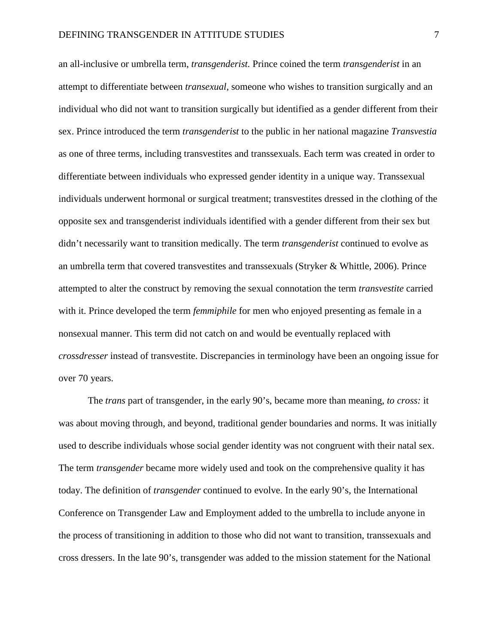an all-inclusive or umbrella term, *transgenderist.* Prince coined the term *transgenderist* in an attempt to differentiate between *transexual*, someone who wishes to transition surgically and an individual who did not want to transition surgically but identified as a gender different from their sex. Prince introduced the term *transgenderist* to the public in her national magazine *Transvestia* as one of three terms, including transvestites and transsexuals. Each term was created in order to differentiate between individuals who expressed gender identity in a unique way. Transsexual individuals underwent hormonal or surgical treatment; transvestites dressed in the clothing of the opposite sex and transgenderist individuals identified with a gender different from their sex but didn't necessarily want to transition medically. The term *transgenderist* continued to evolve as an umbrella term that covered transvestites and transsexuals (Stryker & Whittle, 2006). Prince attempted to alter the construct by removing the sexual connotation the term *transvestite* carried with it. Prince developed the term *femmiphile* for men who enjoyed presenting as female in a nonsexual manner. This term did not catch on and would be eventually replaced with *crossdresser* instead of transvestite. Discrepancies in terminology have been an ongoing issue for over 70 years.

The *trans* part of transgender, in the early 90's, became more than meaning, *to cross:* it was about moving through, and beyond, traditional gender boundaries and norms. It was initially used to describe individuals whose social gender identity was not congruent with their natal sex. The term *transgender* became more widely used and took on the comprehensive quality it has today. The definition of *transgender* continued to evolve. In the early 90's, the International Conference on Transgender Law and Employment added to the umbrella to include anyone in the process of transitioning in addition to those who did not want to transition, transsexuals and cross dressers. In the late 90's, transgender was added to the mission statement for the National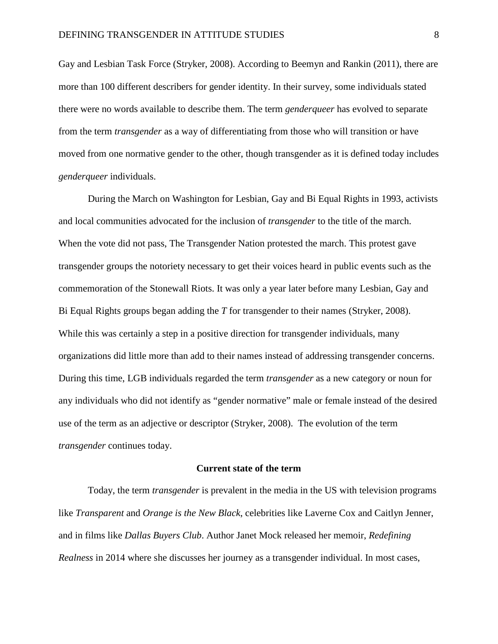Gay and Lesbian Task Force (Stryker, 2008). According to Beemyn and Rankin (2011), there are more than 100 different describers for gender identity. In their survey, some individuals stated there were no words available to describe them. The term *genderqueer* has evolved to separate from the term *transgender* as a way of differentiating from those who will transition or have moved from one normative gender to the other, though transgender as it is defined today includes *genderqueer* individuals.

During the March on Washington for Lesbian, Gay and Bi Equal Rights in 1993, activists and local communities advocated for the inclusion of *transgender* to the title of the march. When the vote did not pass, The Transgender Nation protested the march. This protest gave transgender groups the notoriety necessary to get their voices heard in public events such as the commemoration of the Stonewall Riots. It was only a year later before many Lesbian, Gay and Bi Equal Rights groups began adding the *T* for transgender to their names (Stryker, 2008). While this was certainly a step in a positive direction for transgender individuals, many organizations did little more than add to their names instead of addressing transgender concerns. During this time, LGB individuals regarded the term *transgender* as a new category or noun for any individuals who did not identify as "gender normative" male or female instead of the desired use of the term as an adjective or descriptor (Stryker, 2008). The evolution of the term *transgender* continues today.

#### **Current state of the term**

Today, the term *transgender* is prevalent in the media in the US with television programs like *Transparent* and *Orange is the New Black*, celebrities like Laverne Cox and Caitlyn Jenner, and in films like *Dallas Buyers Club*. Author Janet Mock released her memoir, *Redefining Realness* in 2014 where she discusses her journey as a transgender individual. In most cases,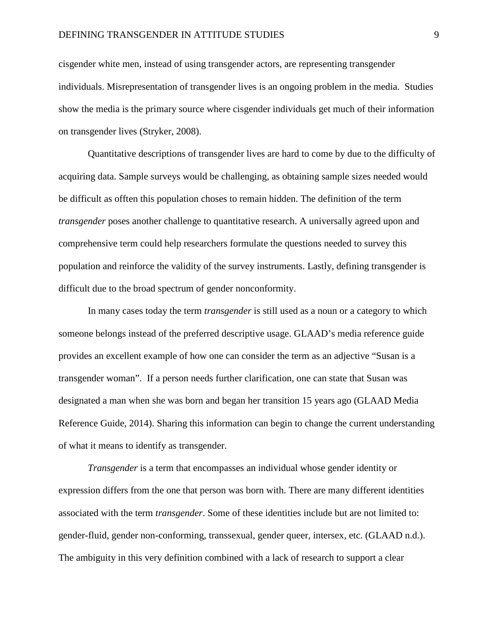cisgender white men, instead of using transgender actors, are representing transgender individuals. Misrepresentation of transgender lives is an ongoing problem in the media. Studies show the media is the primary source where cisgender individuals get much of their information on transgender lives (Stryker, 2008).

Quantitative descriptions of transgender lives are hard to come by due to the difficulty of acquiring data. Sample surveys would be challenging, as obtaining sample sizes needed would be difficult as offten this population choses to remain hidden. The definition of the term *transgender* poses another challenge to quantitative research. A universally agreed upon and comprehensive term could help researchers formulate the questions needed to survey this population and reinforce the validity of the survey instruments. Lastly, defining transgender is difficult due to the broad spectrum of gender nonconformity.

In many cases today the term *transgender* is still used as a noun or a category to which someone belongs instead of the preferred descriptive usage. GLAAD's media reference guide provides an excellent example of how one can consider the term as an adjective "Susan is a transgender woman". If a person needs further clarification, one can state that Susan was designated a man when she was born and began her transition 15 years ago (GLAAD Media Reference Guide, 2014). Sharing this information can begin to change the current understanding of what it means to identify as transgender.

*Transgender* is a term that encompasses an individual whose gender identity or expression differs from the one that person was born with. There are many different identities associated with the term *transgender*. Some of these identities include but are not limited to: gender-fluid, gender non-conforming, transsexual, gender queer, intersex, etc. (GLAAD n.d.). The ambiguity in this very definition combined with a lack of research to support a clear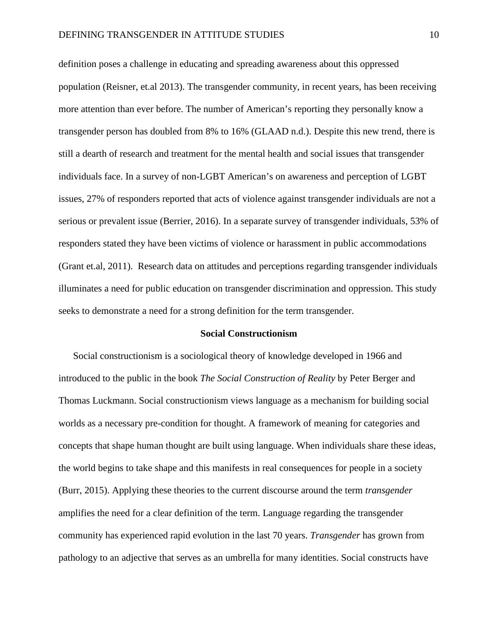definition poses a challenge in educating and spreading awareness about this oppressed population (Reisner, et.al 2013). The transgender community, in recent years, has been receiving more attention than ever before. The number of American's reporting they personally know a transgender person has doubled from 8% to 16% (GLAAD n.d.). Despite this new trend, there is still a dearth of research and treatment for the mental health and social issues that transgender individuals face. In a survey of non-LGBT American's on awareness and perception of LGBT issues, 27% of responders reported that acts of violence against transgender individuals are not a serious or prevalent issue (Berrier, 2016). In a separate survey of transgender individuals, 53% of responders stated they have been victims of violence or harassment in public accommodations (Grant et.al, 2011). Research data on attitudes and perceptions regarding transgender individuals illuminates a need for public education on transgender discrimination and oppression. This study seeks to demonstrate a need for a strong definition for the term transgender.

#### **Social Constructionism**

Social constructionism is a sociological theory of knowledge developed in 1966 and introduced to the public in the book *The Social Construction of Reality* by Peter Berger and Thomas Luckmann. Social constructionism views language as a mechanism for building social worlds as a necessary pre-condition for thought. A framework of meaning for categories and concepts that shape human thought are built using language. When individuals share these ideas, the world begins to take shape and this manifests in real consequences for people in a society (Burr, 2015). Applying these theories to the current discourse around the term *transgender* amplifies the need for a clear definition of the term. Language regarding the transgender community has experienced rapid evolution in the last 70 years. *Transgender* has grown from pathology to an adjective that serves as an umbrella for many identities. Social constructs have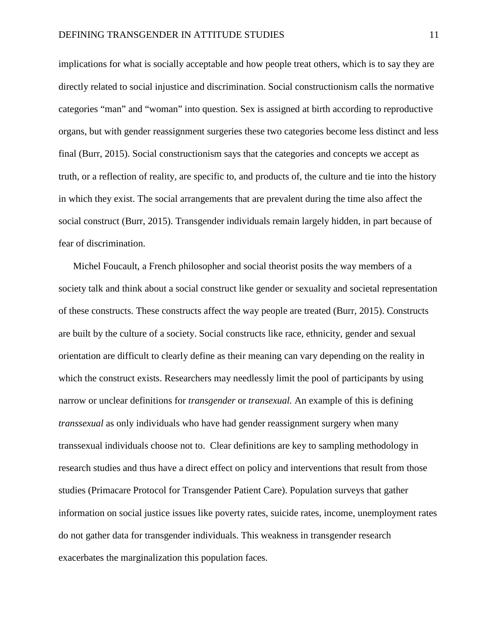implications for what is socially acceptable and how people treat others, which is to say they are directly related to social injustice and discrimination. Social constructionism calls the normative categories "man" and "woman" into question. Sex is assigned at birth according to reproductive organs, but with gender reassignment surgeries these two categories become less distinct and less final (Burr, 2015). Social constructionism says that the categories and concepts we accept as truth, or a reflection of reality, are specific to, and products of, the culture and tie into the history in which they exist. The social arrangements that are prevalent during the time also affect the social construct (Burr, 2015). Transgender individuals remain largely hidden, in part because of fear of discrimination.

Michel Foucault, a French philosopher and social theorist posits the way members of a society talk and think about a social construct like gender or sexuality and societal representation of these constructs. These constructs affect the way people are treated (Burr, 2015). Constructs are built by the culture of a society. Social constructs like race, ethnicity, gender and sexual orientation are difficult to clearly define as their meaning can vary depending on the reality in which the construct exists. Researchers may needlessly limit the pool of participants by using narrow or unclear definitions for *transgender* or *transexual.* An example of this is defining *transsexual* as only individuals who have had gender reassignment surgery when many transsexual individuals choose not to. Clear definitions are key to sampling methodology in research studies and thus have a direct effect on policy and interventions that result from those studies (Primacare Protocol for Transgender Patient Care). Population surveys that gather information on social justice issues like poverty rates, suicide rates, income, unemployment rates do not gather data for transgender individuals. This weakness in transgender research exacerbates the marginalization this population faces.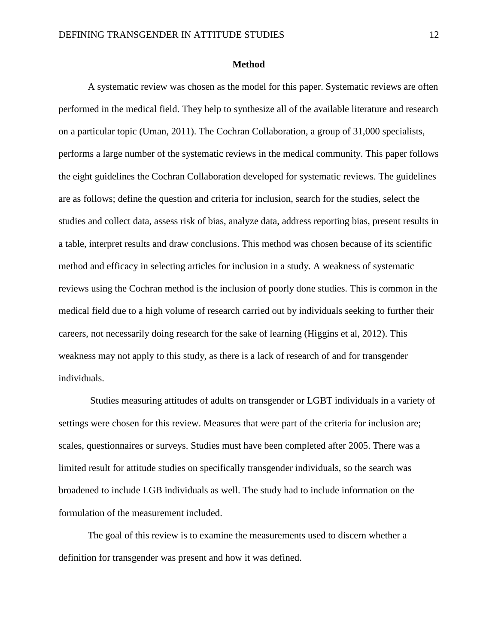#### **Method**

A systematic review was chosen as the model for this paper. Systematic reviews are often performed in the medical field. They help to synthesize all of the available literature and research on a particular topic (Uman, 2011). The Cochran Collaboration, a group of 31,000 specialists, performs a large number of the systematic reviews in the medical community. This paper follows the eight guidelines the Cochran Collaboration developed for systematic reviews. The guidelines are as follows; define the question and criteria for inclusion, search for the studies, select the studies and collect data, assess risk of bias, analyze data, address reporting bias, present results in a table, interpret results and draw conclusions. This method was chosen because of its scientific method and efficacy in selecting articles for inclusion in a study. A weakness of systematic reviews using the Cochran method is the inclusion of poorly done studies. This is common in the medical field due to a high volume of research carried out by individuals seeking to further their careers, not necessarily doing research for the sake of learning (Higgins et al, 2012). This weakness may not apply to this study, as there is a lack of research of and for transgender individuals.

Studies measuring attitudes of adults on transgender or LGBT individuals in a variety of settings were chosen for this review. Measures that were part of the criteria for inclusion are; scales, questionnaires or surveys. Studies must have been completed after 2005. There was a limited result for attitude studies on specifically transgender individuals, so the search was broadened to include LGB individuals as well. The study had to include information on the formulation of the measurement included.

The goal of this review is to examine the measurements used to discern whether a definition for transgender was present and how it was defined.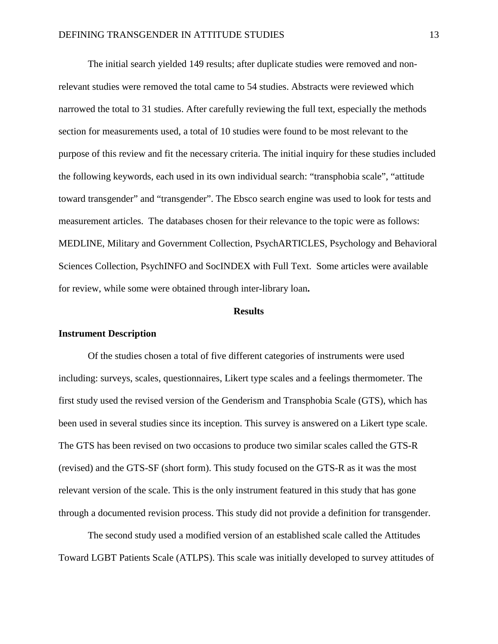The initial search yielded 149 results; after duplicate studies were removed and nonrelevant studies were removed the total came to 54 studies. Abstracts were reviewed which narrowed the total to 31 studies. After carefully reviewing the full text, especially the methods section for measurements used, a total of 10 studies were found to be most relevant to the purpose of this review and fit the necessary criteria. The initial inquiry for these studies included the following keywords, each used in its own individual search: "transphobia scale", "attitude toward transgender" and "transgender". The Ebsco search engine was used to look for tests and measurement articles. The databases chosen for their relevance to the topic were as follows: MEDLINE, Military and Government Collection, PsychARTICLES, Psychology and Behavioral Sciences Collection, PsychINFO and SocINDEX with Full Text. Some articles were available for review, while some were obtained through inter-library loan**.**

#### **Results**

#### **Instrument Description**

Of the studies chosen a total of five different categories of instruments were used including: surveys, scales, questionnaires, Likert type scales and a feelings thermometer. The first study used the revised version of the Genderism and Transphobia Scale (GTS), which has been used in several studies since its inception. This survey is answered on a Likert type scale. The GTS has been revised on two occasions to produce two similar scales called the GTS-R (revised) and the GTS-SF (short form). This study focused on the GTS-R as it was the most relevant version of the scale. This is the only instrument featured in this study that has gone through a documented revision process. This study did not provide a definition for transgender.

The second study used a modified version of an established scale called the Attitudes Toward LGBT Patients Scale (ATLPS). This scale was initially developed to survey attitudes of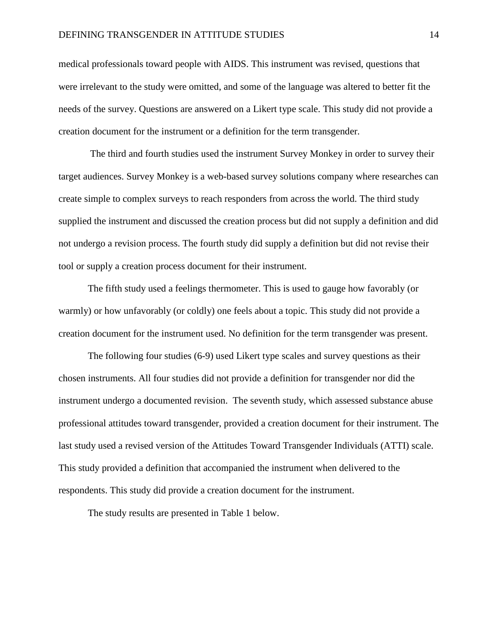medical professionals toward people with AIDS. This instrument was revised, questions that were irrelevant to the study were omitted, and some of the language was altered to better fit the needs of the survey. Questions are answered on a Likert type scale. This study did not provide a creation document for the instrument or a definition for the term transgender.

The third and fourth studies used the instrument Survey Monkey in order to survey their target audiences. Survey Monkey is a web-based survey solutions company where researches can create simple to complex surveys to reach responders from across the world. The third study supplied the instrument and discussed the creation process but did not supply a definition and did not undergo a revision process. The fourth study did supply a definition but did not revise their tool or supply a creation process document for their instrument.

The fifth study used a feelings thermometer. This is used to gauge how favorably (or warmly) or how unfavorably (or coldly) one feels about a topic. This study did not provide a creation document for the instrument used. No definition for the term transgender was present.

The following four studies (6-9) used Likert type scales and survey questions as their chosen instruments. All four studies did not provide a definition for transgender nor did the instrument undergo a documented revision. The seventh study, which assessed substance abuse professional attitudes toward transgender, provided a creation document for their instrument. The last study used a revised version of the Attitudes Toward Transgender Individuals (ATTI) scale. This study provided a definition that accompanied the instrument when delivered to the respondents. This study did provide a creation document for the instrument.

The study results are presented in Table 1 below.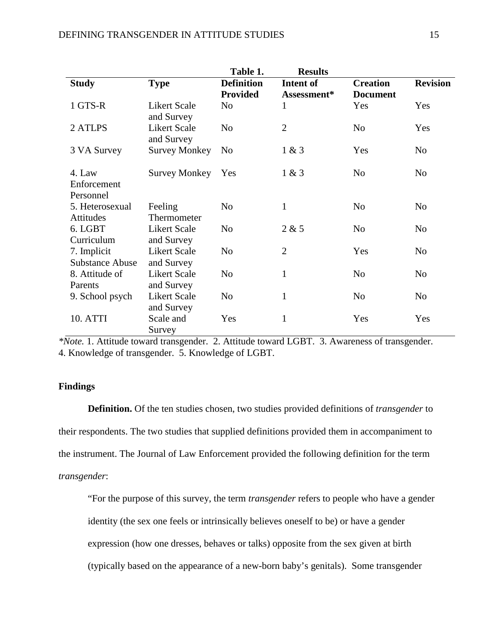|                                       |                                   | Table 1.                             | <b>Results</b>           |                                    |                 |
|---------------------------------------|-----------------------------------|--------------------------------------|--------------------------|------------------------------------|-----------------|
| <b>Study</b>                          | <b>Type</b>                       | <b>Definition</b><br><b>Provided</b> | Intent of<br>Assessment* | <b>Creation</b><br><b>Document</b> | <b>Revision</b> |
| 1 GTS-R                               | <b>Likert Scale</b><br>and Survey | N <sub>0</sub>                       | 1                        | Yes                                | Yes             |
| 2 ATLPS                               | <b>Likert Scale</b><br>and Survey | N <sub>o</sub>                       | $\overline{2}$           | N <sub>o</sub>                     | Yes             |
| 3 VA Survey                           | <b>Survey Monkey</b>              | No                                   | 1 & 3                    | Yes                                | N <sub>0</sub>  |
| 4. Law<br>Enforcement<br>Personnel    | <b>Survey Monkey</b>              | Yes                                  | 1 & 3                    | N <sub>o</sub>                     | N <sub>o</sub>  |
| 5. Heterosexual<br>Attitudes          | Feeling<br>Thermometer            | N <sub>o</sub>                       | 1                        | N <sub>o</sub>                     | N <sub>o</sub>  |
| 6. LGBT<br>Curriculum                 | <b>Likert Scale</b><br>and Survey | N <sub>o</sub>                       | 2 & 5                    | N <sub>o</sub>                     | N <sub>o</sub>  |
| 7. Implicit<br><b>Substance Abuse</b> | <b>Likert Scale</b><br>and Survey | N <sub>0</sub>                       | $\overline{2}$           | Yes                                | N <sub>0</sub>  |
| 8. Attitude of<br>Parents             | <b>Likert Scale</b><br>and Survey | N <sub>o</sub>                       | $\mathbf{1}$             | N <sub>o</sub>                     | N <sub>o</sub>  |
| 9. School psych                       | <b>Likert Scale</b><br>and Survey | N <sub>o</sub>                       | $\mathbf{1}$             | N <sub>o</sub>                     | N <sub>o</sub>  |
| 10. ATTI                              | Scale and<br>Survey               | Yes                                  | $\mathbf{1}$             | Yes                                | Yes             |

*\*Note.* 1. Attitude toward transgender.2. Attitude toward LGBT.3. Awareness of transgender. 4. Knowledge of transgender.5. Knowledge of LGBT.

# **Findings**

**Definition.** Of the ten studies chosen, two studies provided definitions of *transgender* to their respondents. The two studies that supplied definitions provided them in accompaniment to the instrument. The Journal of Law Enforcement provided the following definition for the term *transgender*:

"For the purpose of this survey, the term *transgender* refers to people who have a gender identity (the sex one feels or intrinsically believes oneself to be) or have a gender expression (how one dresses, behaves or talks) opposite from the sex given at birth (typically based on the appearance of a new-born baby's genitals). Some transgender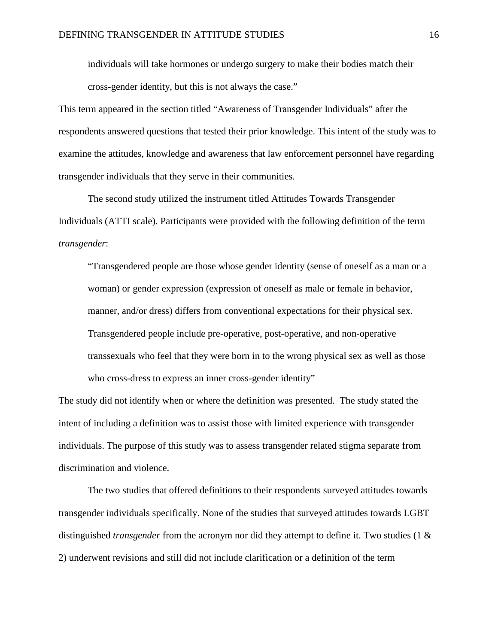individuals will take hormones or undergo surgery to make their bodies match their cross-gender identity, but this is not always the case."

This term appeared in the section titled "Awareness of Transgender Individuals" after the respondents answered questions that tested their prior knowledge. This intent of the study was to examine the attitudes, knowledge and awareness that law enforcement personnel have regarding transgender individuals that they serve in their communities.

The second study utilized the instrument titled Attitudes Towards Transgender Individuals (ATTI scale). Participants were provided with the following definition of the term *transgender*:

"Transgendered people are those whose gender identity (sense of oneself as a man or a woman) or gender expression (expression of oneself as male or female in behavior, manner, and/or dress) differs from conventional expectations for their physical sex. Transgendered people include pre-operative, post-operative, and non-operative transsexuals who feel that they were born in to the wrong physical sex as well as those who cross-dress to express an inner cross-gender identity"

The study did not identify when or where the definition was presented. The study stated the intent of including a definition was to assist those with limited experience with transgender individuals. The purpose of this study was to assess transgender related stigma separate from discrimination and violence.

The two studies that offered definitions to their respondents surveyed attitudes towards transgender individuals specifically. None of the studies that surveyed attitudes towards LGBT distinguished *transgender* from the acronym nor did they attempt to define it. Two studies (1 & 2) underwent revisions and still did not include clarification or a definition of the term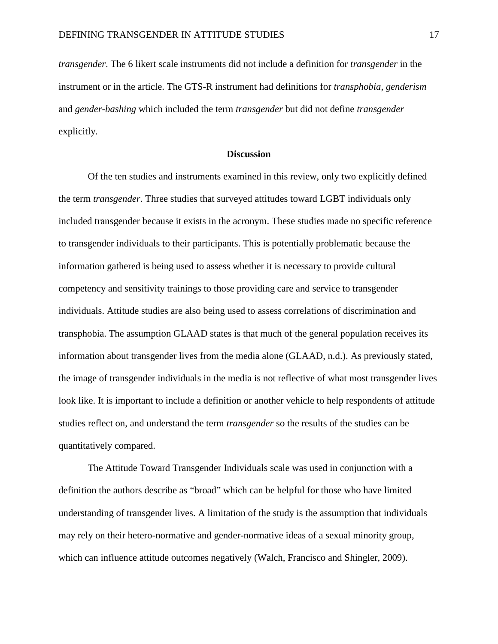*transgender*. The 6 likert scale instruments did not include a definition for *transgender* in the instrument or in the article. The GTS-R instrument had definitions for *transphobia*, *genderism* and *gender-bashing* which included the term *transgender* but did not define *transgender* explicitly.

#### **Discussion**

Of the ten studies and instruments examined in this review, only two explicitly defined the term *transgender*. Three studies that surveyed attitudes toward LGBT individuals only included transgender because it exists in the acronym. These studies made no specific reference to transgender individuals to their participants. This is potentially problematic because the information gathered is being used to assess whether it is necessary to provide cultural competency and sensitivity trainings to those providing care and service to transgender individuals. Attitude studies are also being used to assess correlations of discrimination and transphobia. The assumption GLAAD states is that much of the general population receives its information about transgender lives from the media alone (GLAAD, n.d.). As previously stated, the image of transgender individuals in the media is not reflective of what most transgender lives look like. It is important to include a definition or another vehicle to help respondents of attitude studies reflect on, and understand the term *transgender* so the results of the studies can be quantitatively compared.

The Attitude Toward Transgender Individuals scale was used in conjunction with a definition the authors describe as "broad" which can be helpful for those who have limited understanding of transgender lives. A limitation of the study is the assumption that individuals may rely on their hetero-normative and gender-normative ideas of a sexual minority group, which can influence attitude outcomes negatively (Walch, Francisco and Shingler, 2009).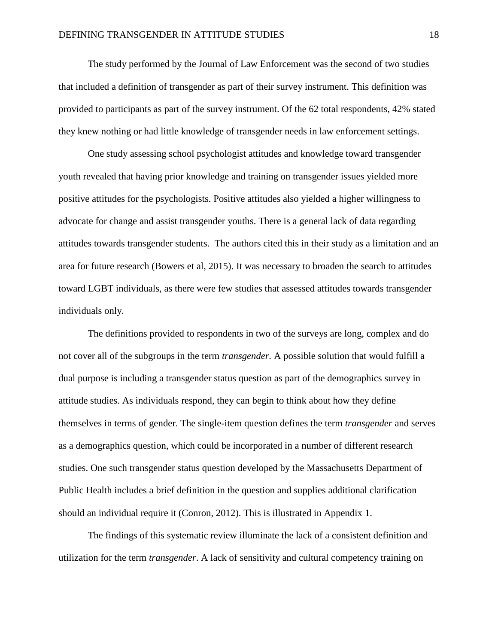The study performed by the Journal of Law Enforcement was the second of two studies that included a definition of transgender as part of their survey instrument. This definition was provided to participants as part of the survey instrument. Of the 62 total respondents, 42% stated they knew nothing or had little knowledge of transgender needs in law enforcement settings.

One study assessing school psychologist attitudes and knowledge toward transgender youth revealed that having prior knowledge and training on transgender issues yielded more positive attitudes for the psychologists. Positive attitudes also yielded a higher willingness to advocate for change and assist transgender youths. There is a general lack of data regarding attitudes towards transgender students. The authors cited this in their study as a limitation and an area for future research (Bowers et al, 2015). It was necessary to broaden the search to attitudes toward LGBT individuals, as there were few studies that assessed attitudes towards transgender individuals only.

The definitions provided to respondents in two of the surveys are long, complex and do not cover all of the subgroups in the term *transgender.* A possible solution that would fulfill a dual purpose is including a transgender status question as part of the demographics survey in attitude studies. As individuals respond, they can begin to think about how they define themselves in terms of gender. The single-item question defines the term *transgender* and serves as a demographics question, which could be incorporated in a number of different research studies. One such transgender status question developed by the Massachusetts Department of Public Health includes a brief definition in the question and supplies additional clarification should an individual require it (Conron, 2012). This is illustrated in Appendix 1.

The findings of this systematic review illuminate the lack of a consistent definition and utilization for the term *transgender*. A lack of sensitivity and cultural competency training on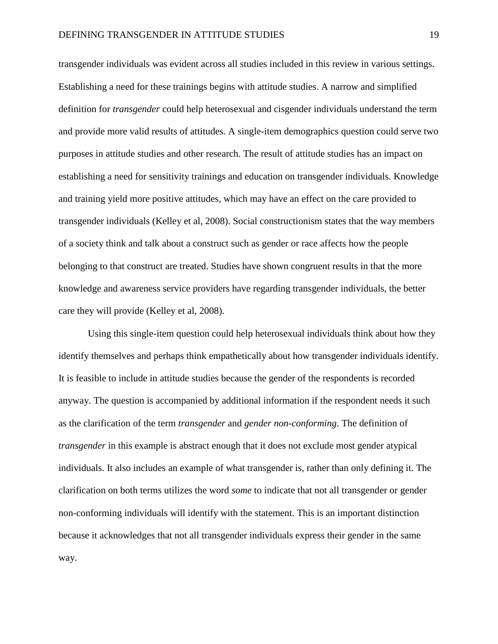transgender individuals was evident across all studies included in this review in various settings. Establishing a need for these trainings begins with attitude studies. A narrow and simplified definition for *transgender* could help heterosexual and cisgender individuals understand the term and provide more valid results of attitudes. A single-item demographics question could serve two purposes in attitude studies and other research. The result of attitude studies has an impact on establishing a need for sensitivity trainings and education on transgender individuals. Knowledge and training yield more positive attitudes, which may have an effect on the care provided to transgender individuals (Kelley et al, 2008). Social constructionism states that the way members of a society think and talk about a construct such as gender or race affects how the people belonging to that construct are treated. Studies have shown congruent results in that the more knowledge and awareness service providers have regarding transgender individuals, the better care they will provide (Kelley et al, 2008).

Using this single-item question could help heterosexual individuals think about how they identify themselves and perhaps think empathetically about how transgender individuals identify. It is feasible to include in attitude studies because the gender of the respondents is recorded anyway. The question is accompanied by additional information if the respondent needs it such as the clarification of the term *transgender* and *gender non-conforming.* The definition of *transgender* in this example is abstract enough that it does not exclude most gender atypical individuals. It also includes an example of what transgender is, rather than only defining it. The clarification on both terms utilizes the word *some* to indicate that not all transgender or gender non-conforming individuals will identify with the statement. This is an important distinction because it acknowledges that not all transgender individuals express their gender in the same way.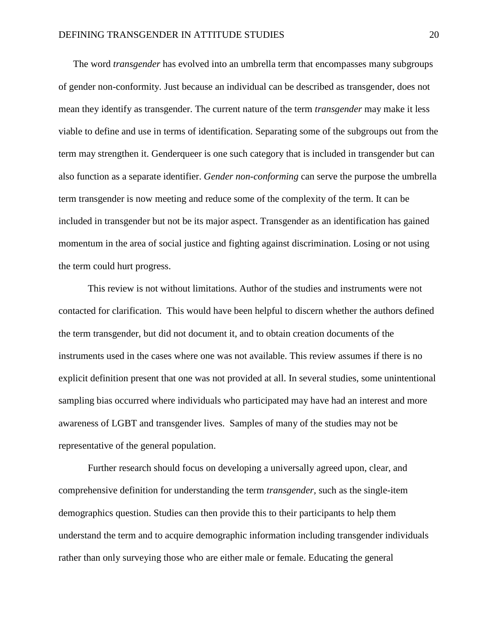The word *transgender* has evolved into an umbrella term that encompasses many subgroups of gender non-conformity. Just because an individual can be described as transgender, does not mean they identify as transgender. The current nature of the term *transgender* may make it less viable to define and use in terms of identification. Separating some of the subgroups out from the term may strengthen it. Genderqueer is one such category that is included in transgender but can also function as a separate identifier. *Gender non-conforming* can serve the purpose the umbrella term transgender is now meeting and reduce some of the complexity of the term. It can be included in transgender but not be its major aspect. Transgender as an identification has gained momentum in the area of social justice and fighting against discrimination. Losing or not using the term could hurt progress.

This review is not without limitations. Author of the studies and instruments were not contacted for clarification. This would have been helpful to discern whether the authors defined the term transgender, but did not document it, and to obtain creation documents of the instruments used in the cases where one was not available. This review assumes if there is no explicit definition present that one was not provided at all. In several studies, some unintentional sampling bias occurred where individuals who participated may have had an interest and more awareness of LGBT and transgender lives. Samples of many of the studies may not be representative of the general population.

Further research should focus on developing a universally agreed upon, clear, and comprehensive definition for understanding the term *transgender,* such as the single-item demographics question. Studies can then provide this to their participants to help them understand the term and to acquire demographic information including transgender individuals rather than only surveying those who are either male or female. Educating the general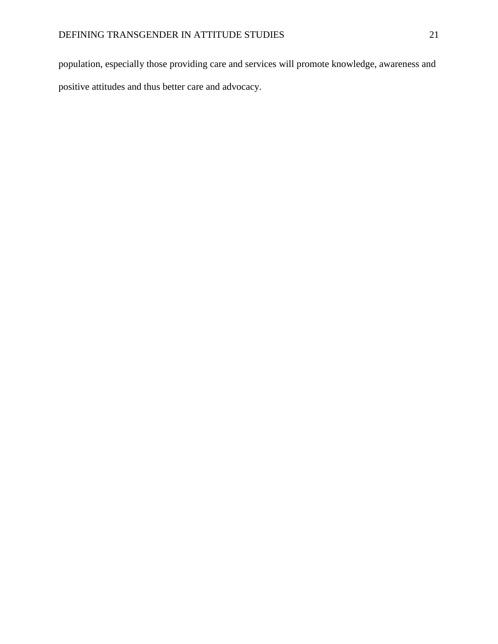population, especially those providing care and services will promote knowledge, awareness and positive attitudes and thus better care and advocacy.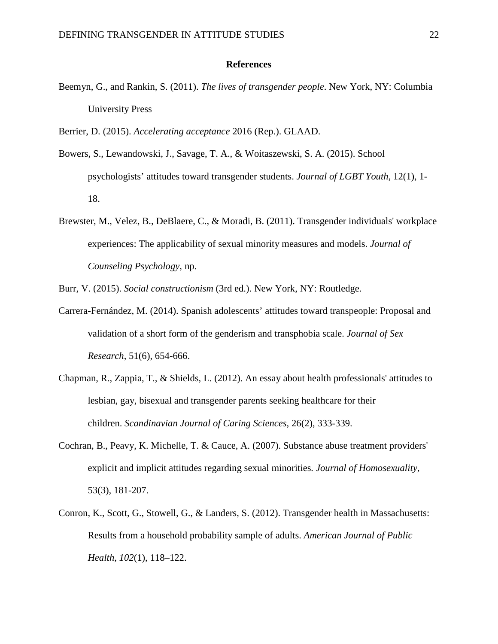#### **References**

- Beemyn, G., and Rankin, S. (2011). *The lives of transgender people*. New York, NY: Columbia University Press
- Berrier, D. (2015). *Accelerating acceptance* 2016 (Rep.). GLAAD.
- Bowers, S., Lewandowski, J., Savage, T. A., & Woitaszewski, S. A. (2015). School psychologists' attitudes toward transgender students. *Journal of LGBT Youth*, 12(1), 1- 18.
- Brewster, M., Velez, B., DeBlaere, C., & Moradi, B. (2011). Transgender individuals' workplace experiences: The applicability of sexual minority measures and models. *Journal of Counseling Psychology,* np.

Burr, V. (2015). *Social constructionism* (3rd ed.). New York, NY: Routledge.

- Carrera-Fernández, M. (2014). Spanish adolescents' attitudes toward transpeople: Proposal and validation of a short form of the genderism and transphobia scale. *Journal of Sex Research*, 51(6), 654-666.
- Chapman, R., Zappia, T., & Shields, L. (2012). An essay about health professionals' attitudes to lesbian, gay, bisexual and transgender parents seeking healthcare for their children. *Scandinavian Journal of Caring Sciences*, 26(2), 333-339.
- Cochran, B., Peavy, K. Michelle, T. & Cauce, A. (2007). Substance abuse treatment providers' explicit and implicit attitudes regarding sexual minorities*. Journal of Homosexuality*, 53(3), 181-207.
- Conron, K., Scott, G., Stowell, G., & Landers, S. (2012). Transgender health in Massachusetts: Results from a household probability sample of adults. *American Journal of Public Health*, *102*(1), 118–122.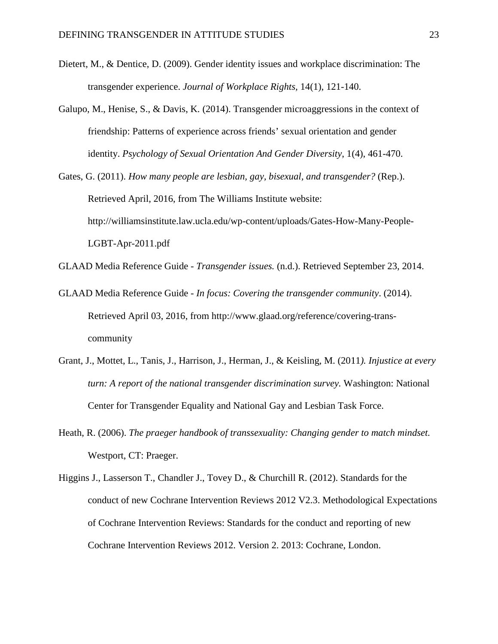- Dietert, M., & Dentice, D. (2009). Gender identity issues and workplace discrimination: The transgender experience. *Journal of Workplace Rights,* 14(1), 121-140.
- Galupo, M., Henise, S., & Davis, K. (2014). Transgender microaggressions in the context of friendship: Patterns of experience across friends' sexual orientation and gender identity. *Psychology of Sexual Orientation And Gender Diversity*, 1(4), 461-470.
- Gates, G. (2011). *How many people are lesbian, gay, bisexual, and transgender?* (Rep.). Retrieved April, 2016, from The Williams Institute website: http://williamsinstitute.law.ucla.edu/wp-content/uploads/Gates-How-Many-People-LGBT-Apr-2011.pdf
- GLAAD Media Reference Guide *Transgender issues.* (n.d.). Retrieved September 23, 2014.
- GLAAD Media Reference Guide *In focus: Covering the transgender community*. (2014). Retrieved April 03, 2016, from http://www.glaad.org/reference/covering-transcommunity
- Grant, J., Mottet, L., Tanis, J., Harrison, J., Herman, J., & Keisling, M. (2011*). Injustice at every turn: A report of the national transgender discrimination survey.* Washington: National Center for Transgender Equality and National Gay and Lesbian Task Force.
- Heath, R. (2006). *The praeger handbook of transsexuality: Changing gender to match mindset.*  Westport, CT: Praeger.
- Higgins J., Lasserson T., Chandler J., Tovey D., & Churchill R. (2012). Standards for the conduct of new Cochrane Intervention Reviews 2012 V2.3. Methodological Expectations of Cochrane Intervention Reviews: Standards for the conduct and reporting of new Cochrane Intervention Reviews 2012. Version 2. 2013: Cochrane, London.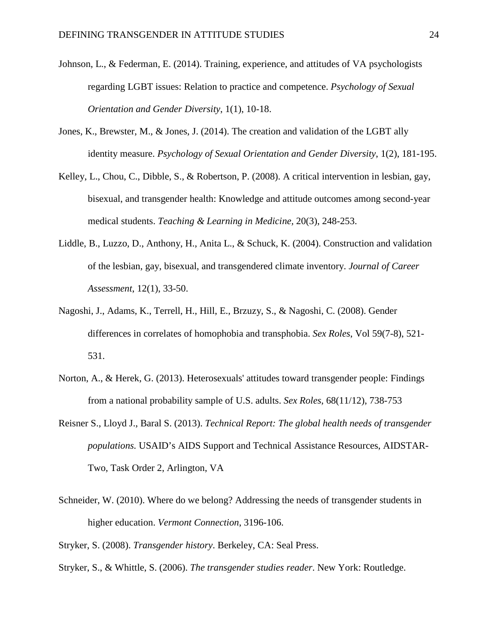- Johnson, L., & Federman, E. (2014). Training, experience, and attitudes of VA psychologists regarding LGBT issues: Relation to practice and competence. *Psychology of Sexual Orientation and Gender Diversity*, 1(1), 10-18.
- Jones, K., Brewster, M., & Jones, J. (2014). The creation and validation of the LGBT ally identity measure. *Psychology of Sexual Orientation and Gender Diversity*, 1(2), 181-195.
- Kelley, L., Chou, C., Dibble, S., & Robertson, P. (2008). A critical intervention in lesbian, gay, bisexual, and transgender health: Knowledge and attitude outcomes among second-year medical students. *Teaching & Learning in Medicine,* 20(3), 248-253.
- Liddle, B., Luzzo, D., Anthony, H., Anita L., & Schuck, K. (2004). Construction and validation of the lesbian, gay, bisexual, and transgendered climate inventory. *Journal of Career Assessment*, 12(1), 33-50.
- Nagoshi, J., Adams, K., Terrell, H., Hill, E., Brzuzy, S., & Nagoshi, C. (2008). Gender differences in correlates of homophobia and transphobia. *Sex Roles*, Vol 59(7-8), 521- 531.
- Norton, A., & Herek, G. (2013). Heterosexuals' attitudes toward transgender people: Findings from a national probability sample of U.S. adults. *Sex Roles*, 68(11/12), 738-753
- Reisner S., Lloyd J., Baral S. (2013). *Technical Report: The global health needs of transgender populations.* USAID's AIDS Support and Technical Assistance Resources, AIDSTAR-Two, Task Order 2, Arlington, VA
- Schneider, W. (2010). Where do we belong? Addressing the needs of transgender students in higher education. *Vermont Connection*, 3196-106.

Stryker, S. (2008). *Transgender history*. Berkeley, CA: Seal Press.

Stryker, S., & Whittle, S. (2006). *The transgender studies reader*. New York: Routledge.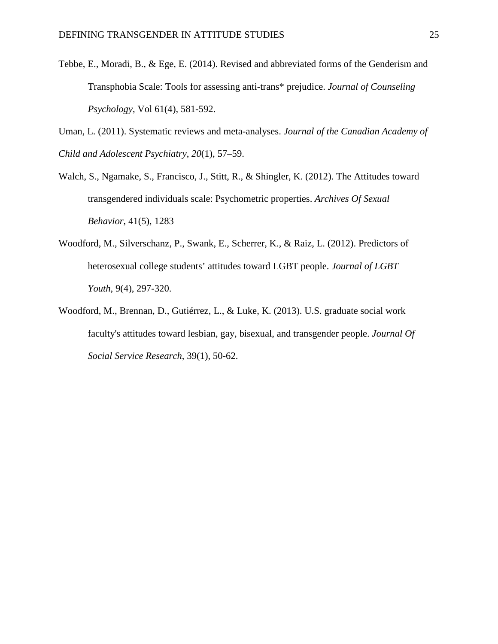- Tebbe, E., Moradi, B., & Ege, E. (2014). Revised and abbreviated forms of the Genderism and Transphobia Scale: Tools for assessing anti-trans\* prejudice. *Journal of Counseling Psychology*, Vol 61(4), 581-592.
- Uman, L. (2011). Systematic reviews and meta-analyses. *Journal of the Canadian Academy of Child and Adolescent Psychiatry*, *20*(1), 57–59.
- Walch, S., Ngamake, S., Francisco, J., Stitt, R., & Shingler, K. (2012). The Attitudes toward transgendered individuals scale: Psychometric properties. *Archives Of Sexual Behavior*, 41(5), 1283
- Woodford, M., Silverschanz, P., Swank, E., Scherrer, K., & Raiz, L. (2012). Predictors of heterosexual college students' attitudes toward LGBT people. *Journal of LGBT Youth*, 9(4), 297-320.
- Woodford, M., Brennan, D., Gutiérrez, L., & Luke, K. (2013). U.S. graduate social work faculty's attitudes toward lesbian, gay, bisexual, and transgender people. *Journal Of Social Service Research*, 39(1), 50-62.